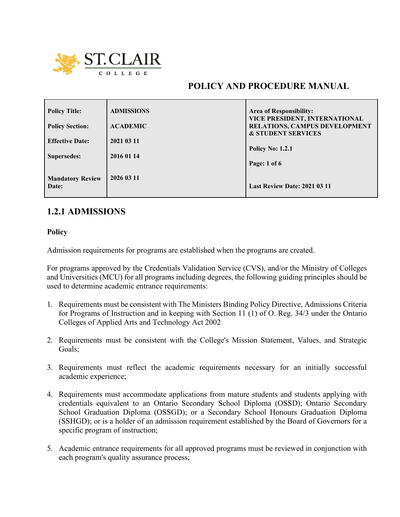

# **POLICY AND PROCEDURE MANUAL**

| <b>Policy Title:</b>             | <b>ADMISSIONS</b> | Area of Responsibility:                                               |
|----------------------------------|-------------------|-----------------------------------------------------------------------|
| <b>Policy Section:</b>           | <b>ACADEMIC</b>   | VICE PRESIDENT, INTERNATIONAL<br><b>RELATIONS, CAMPUS DEVELOPMENT</b> |
|                                  |                   | <b>&amp; STUDENT SERVICES</b>                                         |
| <b>Effective Date:</b>           | 2021 03 11        |                                                                       |
|                                  |                   | <b>Policy No: 1.2.1</b>                                               |
| Supersedes:                      | 2016 01 14        | Page: 1 of 6                                                          |
| <b>Mandatory Review</b><br>Date: | 2026 03 11        | <b>Last Review Date: 2021 03 11</b>                                   |

# **1.2.1 ADMISSIONS**

**Policy**

Admission requirements for programs are established when the programs are created.

For programs approved by the Credentials Validation Service (CVS), and/or the Ministry of Colleges and Universities (MCU) for all programs including degrees, the following guiding principles should be used to determine academic entrance requirements:

- 1. Requirements must be consistent with The Ministers Binding Policy Directive, Admissions Criteria for Programs of Instruction and in keeping with Section 11 (1) of O. Reg. 34/3 under the Ontario Colleges of Applied Arts and Technology Act 2002
- 2. Requirements must be consistent with the College's Mission Statement, Values, and Strategic Goals;
- 3. Requirements must reflect the academic requirements necessary for an initially successful academic experience;
- 4. Requirements must accommodate applications from mature students and students applying with credentials equivalent to an Ontario Secondary School Diploma (OSSD); Ontario Secondary School Graduation Diploma (OSSGD); or a Secondary School Honours Graduation Diploma (SSHGD); or is a holder of an admission requirement established by the Board of Governors for a specific program of instruction;
- 5. Academic entrance requirements for all approved programs must be reviewed in conjunction with each program's quality assurance process;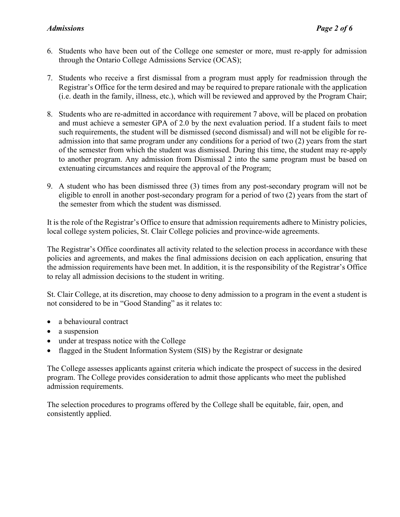## *Admissions Page 2 of 6*

- 6. Students who have been out of the College one semester or more, must re-apply for admission through the Ontario College Admissions Service (OCAS);
- 7. Students who receive a first dismissal from a program must apply for readmission through the Registrar's Office for the term desired and may be required to prepare rationale with the application (i.e. death in the family, illness, etc.), which will be reviewed and approved by the Program Chair;
- 8. Students who are re-admitted in accordance with requirement 7 above, will be placed on probation and must achieve a semester GPA of 2.0 by the next evaluation period. If a student fails to meet such requirements, the student will be dismissed (second dismissal) and will not be eligible for readmission into that same program under any conditions for a period of two (2) years from the start of the semester from which the student was dismissed. During this time, the student may re-apply to another program. Any admission from Dismissal 2 into the same program must be based on extenuating circumstances and require the approval of the Program;
- 9. A student who has been dismissed three (3) times from any post-secondary program will not be eligible to enroll in another post-secondary program for a period of two (2) years from the start of the semester from which the student was dismissed.

It is the role of the Registrar's Office to ensure that admission requirements adhere to Ministry policies, local college system policies, St. Clair College policies and province-wide agreements.

The Registrar's Office coordinates all activity related to the selection process in accordance with these policies and agreements, and makes the final admissions decision on each application, ensuring that the admission requirements have been met. In addition, it is the responsibility of the Registrar's Office to relay all admission decisions to the student in writing.

St. Clair College, at its discretion, may choose to deny admission to a program in the event a student is not considered to be in "Good Standing" as it relates to:

- a behavioural contract
- a suspension
- under at trespass notice with the College
- flagged in the Student Information System (SIS) by the Registrar or designate

The College assesses applicants against criteria which indicate the prospect of success in the desired program. The College provides consideration to admit those applicants who meet the published admission requirements.

The selection procedures to programs offered by the College shall be equitable, fair, open, and consistently applied.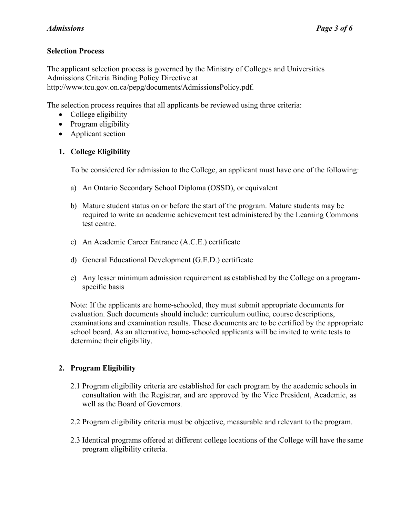# **Selection Process**

The applicant selection process is governed by the Ministry of Colleges and Universities Admissions Criteria Binding Policy Directive at http://www.tcu.gov.on.ca/pepg/documents/AdmissionsPolicy.pdf.

The selection process requires that all applicants be reviewed using three criteria:

- College eligibility
- Program eligibility
- Applicant section

# **1. College Eligibility**

To be considered for admission to the College, an applicant must have one of the following:

- a) An Ontario Secondary School Diploma (OSSD), or equivalent
- b) Mature student status on or before the start of the program. Mature students may be required to write an academic achievement test administered by the Learning Commons test centre.
- c) An Academic Career Entrance (A.C.E.) certificate
- d) General Educational Development (G.E.D.) certificate
- e) Any lesser minimum admission requirement as established by the College on a programspecific basis

Note: If the applicants are home-schooled, they must submit appropriate documents for evaluation. Such documents should include: curriculum outline, course descriptions, examinations and examination results. These documents are to be certified by the appropriate school board. As an alternative, home-schooled applicants will be invited to write tests to determine their eligibility.

# **2. Program Eligibility**

- 2.1 Program eligibility criteria are established for each program by the academic schools in consultation with the Registrar, and are approved by the Vice President, Academic, as well as the Board of Governors.
- 2.2 Program eligibility criteria must be objective, measurable and relevant to the program.
- 2.3 Identical programs offered at different college locations of the College will have the same program eligibility criteria.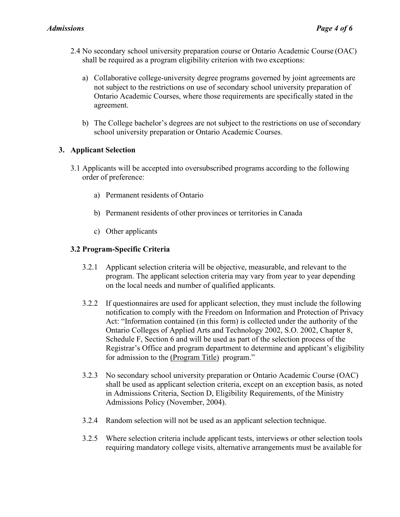- 2.4 No secondary school university preparation course or Ontario Academic Course (OAC) shall be required as a program eligibility criterion with two exceptions:
	- a) Collaborative college-university degree programs governed by joint agreements are not subject to the restrictions on use of secondary school university preparation of Ontario Academic Courses, where those requirements are specifically stated in the agreement.
	- b) The College bachelor's degrees are not subject to the restrictions on use of secondary school university preparation or Ontario Academic Courses.

# **3. Applicant Selection**

- 3.1 Applicants will be accepted into oversubscribed programs according to the following order of preference:
	- a) Permanent residents of Ontario
	- b) Permanent residents of other provinces or territories in Canada
	- c) Other applicants

## **3.2 Program-Specific Criteria**

- 3.2.1 Applicant selection criteria will be objective, measurable, and relevant to the program. The applicant selection criteria may vary from year to year depending on the local needs and number of qualified applicants.
- 3.2.2 If questionnaires are used for applicant selection, they must include the following notification to comply with the Freedom on Information and Protection of Privacy Act: "Information contained (in this form) is collected under the authority of the Ontario Colleges of Applied Arts and Technology 2002, S.O. 2002, Chapter 8, Schedule F, Section 6 and will be used as part of the selection process of the Registrar's Office and program department to determine and applicant's eligibility for admission to the (Program Title) program."
- 3.2.3 No secondary school university preparation or Ontario Academic Course (OAC) shall be used as applicant selection criteria, except on an exception basis, as noted in Admissions Criteria, Section D, Eligibility Requirements, of the Ministry Admissions Policy (November, 2004).
- 3.2.4 Random selection will not be used as an applicant selection technique.
- 3.2.5 Where selection criteria include applicant tests, interviews or other selection tools requiring mandatory college visits, alternative arrangements must be available for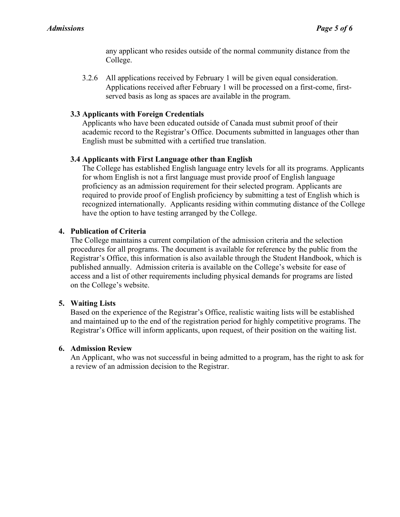any applicant who resides outside of the normal community distance from the College.

3.2.6 All applications received by February 1 will be given equal consideration. Applications received after February 1 will be processed on a first-come, firstserved basis as long as spaces are available in the program.

#### **3.3 Applicants with Foreign Credentials**

Applicants who have been educated outside of Canada must submit proof of their academic record to the Registrar's Office. Documents submitted in languages other than English must be submitted with a certified true translation.

#### **3.4 Applicants with First Language other than English**

The College has established English language entry levels for all its programs. Applicants for whom English is not a first language must provide proof of English language proficiency as an admission requirement for their selected program. Applicants are required to provide proof of English proficiency by submitting a test of English which is recognized internationally. Applicants residing within commuting distance of the College have the option to have testing arranged by the College.

#### **4. Publication of Criteria**

The College maintains a current compilation of the admission criteria and the selection procedures for all programs. The document is available for reference by the public from the Registrar's Office, this information is also available through the Student Handbook, which is published annually. Admission criteria is available on the College's website for ease of access and a list of other requirements including physical demands for programs are listed on the College's website.

#### **5. Waiting Lists**

Based on the experience of the Registrar's Office, realistic waiting lists will be established and maintained up to the end of the registration period for highly competitive programs. The Registrar's Office will inform applicants, upon request, of their position on the waiting list.

### **6. Admission Review**

An Applicant, who was not successful in being admitted to a program, has the right to ask for a review of an admission decision to the Registrar.